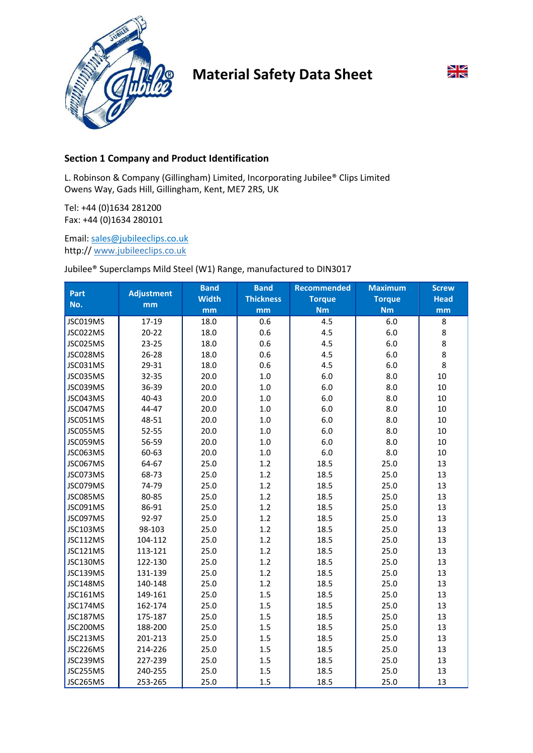

# Material Safety Data Sheet



## Section 1 Company and Product Identification

L. Robinson & Company (Gillingham) Limited, Incorporating Jubilee® Clips Limited Owens Way, Gads Hill, Gillingham, Kent, ME7 2RS, UK

Tel: +44 (0)1634 281200 Fax: +44 (0)1634 280101

Email: sales@jubileeclips.co.uk http:// www.jubileeclips.co.uk

### Jubilee® Superclamps Mild Steel (W1) Range, manufactured to DIN3017

| <b>Part</b>     | <b>Adjustment</b> | <b>Band</b>  | <b>Band</b>      | <b>Recommended</b> | <b>Maximum</b> | <b>Screw</b> |
|-----------------|-------------------|--------------|------------------|--------------------|----------------|--------------|
| No.             | mm                | <b>Width</b> | <b>Thickness</b> | <b>Torque</b>      | <b>Torque</b>  | <b>Head</b>  |
|                 |                   | mm           | mm               | <b>Nm</b>          | <b>Nm</b>      | mm           |
| JSC019MS        | 17-19             | 18.0         | 0.6              | 4.5                | 6.0            | 8            |
| JSC022MS        | $20 - 22$         | 18.0         | 0.6              | 4.5                | 6.0            | 8            |
| JSC025MS        | 23-25             | 18.0         | 0.6              | 4.5                | 6.0            | 8            |
| JSC028MS        | $26 - 28$         | 18.0         | 0.6              | 4.5                | 6.0            | 8            |
| JSC031MS        | 29-31             | 18.0         | 0.6              | 4.5                | $6.0$          | 8            |
| JSC035MS        | 32-35             | 20.0         | 1.0              | 6.0                | 8.0            | 10           |
| JSC039MS        | 36-39             | 20.0         | 1.0              | 6.0                | 8.0            | 10           |
| JSC043MS        | 40-43             | 20.0         | 1.0              | 6.0                | 8.0            | 10           |
| JSC047MS        | 44-47             | 20.0         | 1.0              | 6.0                | 8.0            | 10           |
| JSC051MS        | 48-51             | 20.0         | 1.0              | 6.0                | 8.0            | 10           |
| JSC055MS        | 52-55             | 20.0         | 1.0              | 6.0                | 8.0            | 10           |
| JSC059MS        | 56-59             | 20.0         | 1.0              | 6.0                | 8.0            | 10           |
| JSC063MS        | 60-63             | 20.0         | 1.0              | 6.0                | 8.0            | 10           |
| JSC067MS        | 64-67             | 25.0         | 1.2              | 18.5               | 25.0           | 13           |
| JSC073MS        | 68-73             | 25.0         | 1.2              | 18.5               | 25.0           | 13           |
| JSC079MS        | 74-79             | 25.0         | 1.2              | 18.5               | 25.0           | 13           |
| JSC085MS        | 80-85             | 25.0         | 1.2              | 18.5               | 25.0           | 13           |
| JSC091MS        | 86-91             | 25.0         | 1.2              | 18.5               | 25.0           | 13           |
| JSC097MS        | 92-97             | 25.0         | 1.2              | 18.5               | 25.0           | 13           |
| JSC103MS        | 98-103            | 25.0         | 1.2              | 18.5               | 25.0           | 13           |
| JSC112MS        | 104-112           | 25.0         | 1.2              | 18.5               | 25.0           | 13           |
| <b>JSC121MS</b> | 113-121           | 25.0         | 1.2              | 18.5               | 25.0           | 13           |
| JSC130MS        | 122-130           | 25.0         | 1.2              | 18.5               | 25.0           | 13           |
| JSC139MS        | 131-139           | 25.0         | 1.2              | 18.5               | 25.0           | 13           |
| JSC148MS        | 140-148           | 25.0         | 1.2              | 18.5               | 25.0           | 13           |
| <b>JSC161MS</b> | 149-161           | 25.0         | 1.5              | 18.5               | 25.0           | 13           |
| JSC174MS        | 162-174           | 25.0         | 1.5              | 18.5               | 25.0           | 13           |
| JSC187MS        | 175-187           | 25.0         | 1.5              | 18.5               | 25.0           | 13           |
| JSC200MS        | 188-200           | 25.0         | 1.5              | 18.5               | 25.0           | 13           |
| JSC213MS        | 201-213           | 25.0         | 1.5              | 18.5               | 25.0           | 13           |
| JSC226MS        | 214-226           | 25.0         | 1.5              | 18.5               | 25.0           | 13           |
| JSC239MS        | 227-239           | 25.0         | 1.5              | 18.5               | 25.0           | 13           |
| JSC255MS        | 240-255           | 25.0         | 1.5              | 18.5               | 25.0           | 13           |
| JSC265MS        | 253-265           | 25.0         | 1.5              | 18.5               | 25.0           | 13           |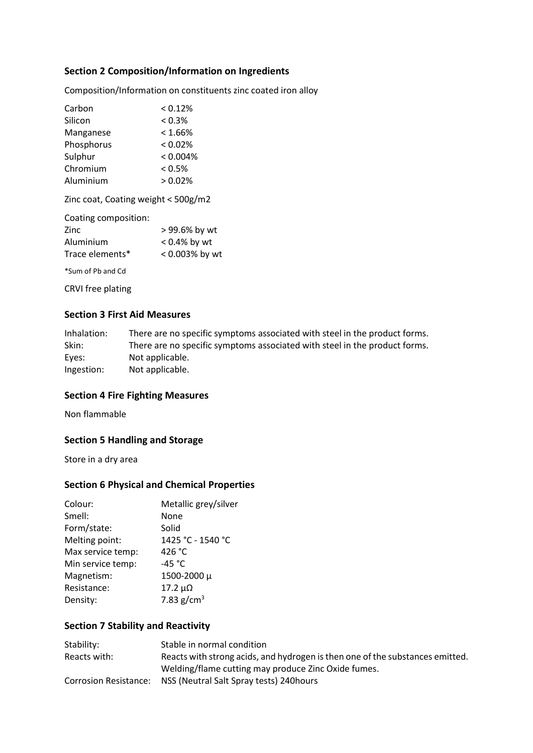## Section 2 Composition/Information on Ingredients

Composition/Information on constituents zinc coated iron alloy

| Carbon     | < 0.12%    |
|------------|------------|
| Silicon    | $< 0.3\%$  |
| Manganese  | $< 1.66\%$ |
| Phosphorus | $< 0.02\%$ |
| Sulphur    | < 0.004%   |
| Chromium   | < 0.5%     |
| Aluminium  | > 0.02%    |

Zinc coat, Coating weight < 500g/m2

| Coating composition: |                 |
|----------------------|-----------------|
| Zinc                 | > 99.6% by wt   |
| Aluminium            | $< 0.4\%$ by wt |
| Trace elements*      | < 0.003% by wt  |
|                      |                 |

\*Sum of Pb and Cd

CRVI free plating

## Section 3 First Aid Measures

| Inhalation: | There are no specific symptoms associated with steel in the product forms. |
|-------------|----------------------------------------------------------------------------|
| Skin:       | There are no specific symptoms associated with steel in the product forms. |
| Eyes:       | Not applicable.                                                            |
| Ingestion:  | Not applicable.                                                            |

#### Section 4 Fire Fighting Measures

Non flammable

## Section 5 Handling and Storage

Store in a dry area

### Section 6 Physical and Chemical Properties

| Colour:           | Metallic grey/silver |
|-------------------|----------------------|
| Smell:            | None                 |
| Form/state:       | Solid                |
| Melting point:    | 1425 °C - 1540 °C    |
| Max service temp: | 426 °C               |
| Min service temp: | -45 $^{\circ}$ C     |
| Magnetism:        | 1500-2000 µ          |
| Resistance:       | $17.2 \mu\Omega$     |
| Density:          | 7.83 $g/cm^{3}$      |
|                   |                      |

## Section 7 Stability and Reactivity

| Stability:   | Stable in normal condition                                                    |
|--------------|-------------------------------------------------------------------------------|
| Reacts with: | Reacts with strong acids, and hydrogen is then one of the substances emitted. |
|              | Welding/flame cutting may produce Zinc Oxide fumes.                           |
|              | Corrosion Resistance: NSS (Neutral Salt Spray tests) 240 hours                |